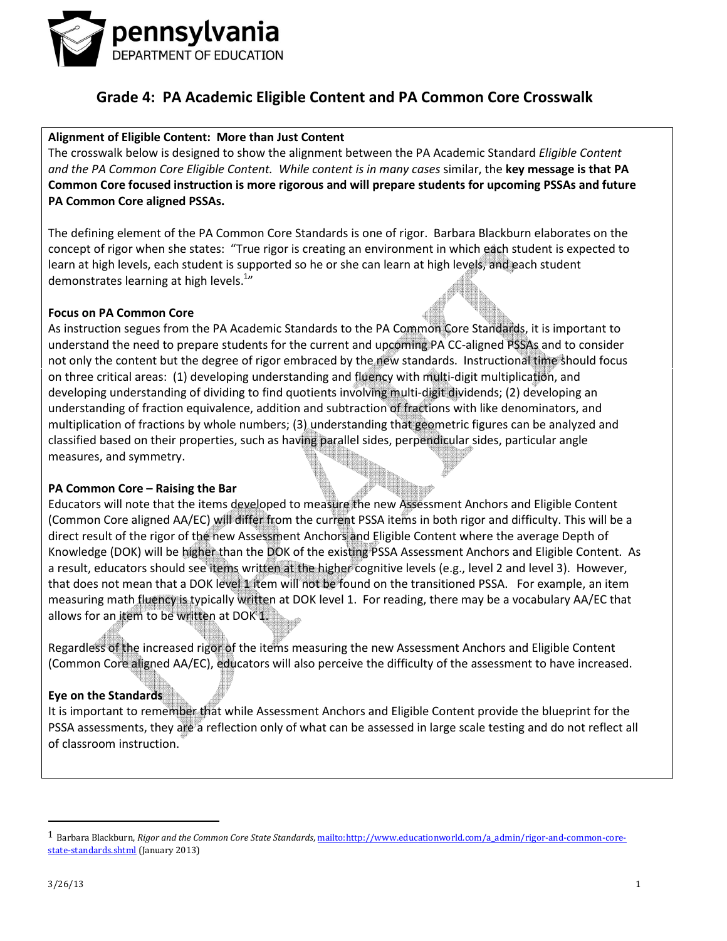

#### Alignment of Eligible Content: More than Just Content

The crosswalk below is designed to show the alignment between the PA Academic Standard *Eligible Content* and the PA Common Core Eligible Content. While content is in many cases similar, the key message is that PA Common Core focused instruction is more rigorous and will prepare students for upcoming PSSAs and future PA Common Core aligned PSSAs.

The defining element of the PA Common Core Standards is one of rigor. Barbara Blackburn elaborates on the concept of rigor when she states: "True rigor is creating an environment in which each student is expected to learn at high levels, each student is supported so he or she can learn at high levels, and each student demonstrates learning at high levels.<sup>1</sup>"

#### Focus on PA Common Core

As instruction segues from the PA Academic Standards to the PA Common Core Standards, it is important to understand the need to prepare students for the current and upcoming PA CC-aligned PSSAs and to consider not only the content but the degree of rigor embraced by the new standards. Instructional time should focus on three critical areas: (1) developing understanding and fluency with multi-digit multiplication, and developing understanding of dividing to find quotients involving multi-digit dividends; (2) developing an understanding of fraction equivalence, addition and subtraction of fractions with like denominators, and multiplication of fractions by whole numbers; (3) understanding that geometric figures can be analyzed and classified based on their properties, such as having parallel sides, perpendicular sides, particular angle measures, and symmetry.

#### PA Common Core – Raising the Bar

Educators will note that the items developed to measure the new Assessment Anchors and Eligible Content (Common Core aligned AA/EC) will differ from the current PSSA items in both rigor and difficulty. This will be a direct result of the rigor of the new Assessment Anchors and Eligible Content where the average Depth of Knowledge (DOK) will be higher than the DOK of the existing PSSA Assessment Anchors and Eligible Content. As a result, educators should see items written at the higher cognitive levels (e.g., level 2 and level 3). However, that does not mean that a DOK level 1 item will not be found on the transitioned PSSA. For example, an item measuring math fluency is typically written at DOK level 1. For reading, there may be a vocabulary AA/EC that allows for an item to be written at DOK 1.

Regardless of the increased rigor of the items measuring the new Assessment Anchors and Eligible Content (Common Core aligned AA/EC), educators will also perceive the difficulty of the assessment to have increased.

#### Eye on the Standards

It is important to remember that while Assessment Anchors and Eligible Content provide the blueprint for the PSSA assessments, they are a reflection only of what can be assessed in large scale testing and do not reflect all of classroom instruction.

 $\overline{a}$ 

<sup>&</sup>lt;sup>1</sup> Barbara Blackburn, Rigor and the Common Core State Standards, mailto:http://www.educationworld.com/a\_admin/rigor-and-common-corestate-standards.shtml (January 2013)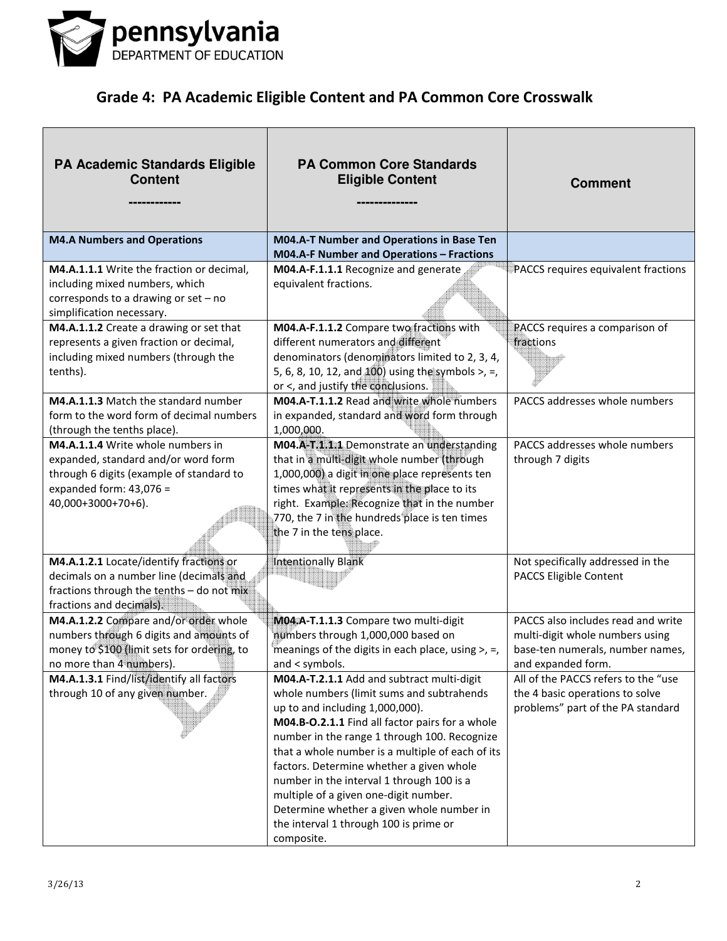

| <b>PA Academic Standards Eligible</b><br><b>Content</b>                                                                                                                 | <b>PA Common Core Standards</b><br><b>Eligible Content</b>                                                                                                                                                                                                                                                                                                                                                                                                                                                               | <b>Comment</b>                                                                                                                  |
|-------------------------------------------------------------------------------------------------------------------------------------------------------------------------|--------------------------------------------------------------------------------------------------------------------------------------------------------------------------------------------------------------------------------------------------------------------------------------------------------------------------------------------------------------------------------------------------------------------------------------------------------------------------------------------------------------------------|---------------------------------------------------------------------------------------------------------------------------------|
| <b>M4.A Numbers and Operations</b>                                                                                                                                      | M04.A-T Number and Operations in Base Ten<br>M04.A-F Number and Operations - Fractions                                                                                                                                                                                                                                                                                                                                                                                                                                   |                                                                                                                                 |
| M4.A.1.1.1 Write the fraction or decimal,<br>including mixed numbers, which<br>corresponds to a drawing or set - no<br>simplification necessary.                        | M04.A-F.1.1.1 Recognize and generate<br>equivalent fractions.                                                                                                                                                                                                                                                                                                                                                                                                                                                            | PACCS requires equivalent fractions                                                                                             |
| M4.A.1.1.2 Create a drawing or set that<br>represents a given fraction or decimal,<br>including mixed numbers (through the<br>tenths).                                  | M04.A-F.1.1.2 Compare two fractions with<br>different numerators and different<br>denominators (denominators limited to 2, 3, 4,<br>5, 6, 8, 10, 12, and 100) using the symbols >, =,<br>or <, and justify the conclusions.                                                                                                                                                                                                                                                                                              | PACCS requires a comparison of<br>fractions                                                                                     |
| M4.A.1.1.3 Match the standard number<br>form to the word form of decimal numbers<br>(through the tenths place).                                                         | M04.A-T.1.1.2 Read and write whole numbers<br>in expanded, standard and word form through<br>1,000,000.                                                                                                                                                                                                                                                                                                                                                                                                                  | PACCS addresses whole numbers                                                                                                   |
| M4.A.1.1.4 Write whole numbers in<br>expanded, standard and/or word form<br>through 6 digits (example of standard to<br>expanded form: $43,076 =$<br>40,000+3000+70+6). | M04.A-T.1.1.1 Demonstrate an understanding<br>that in a multi-digit whole number (through<br>1,000,000) a digit in one place represents ten<br>times what it represents in the place to its<br>right. Example: Recognize that in the number<br>770, the 7 in the hundreds place is ten times<br>the 7 in the tens place.                                                                                                                                                                                                 | PACCS addresses whole numbers<br>through 7 digits                                                                               |
| M4.A.1.2.1 Locate/identify fractions or<br>decimals on a number line (decimals and<br>fractions through the tenths - do not mix<br>fractions and decimals).             | <b>Intentionally Blank</b>                                                                                                                                                                                                                                                                                                                                                                                                                                                                                               | Not specifically addressed in the<br>PACCS Eligible Content                                                                     |
| M4.A.1.2.2 Compare and/or order whole<br>numbers through 6 digits and amounts of<br>money to \$100 (limit sets for ordering, to<br>no more than 4 numbers).<br>Heer     | M04.A-T.1.1.3 Compare two multi-digit<br>numbers through 1,000,000 based on<br>meanings of the digits in each place, using $>$ , $=$ ,<br>and < symbols.                                                                                                                                                                                                                                                                                                                                                                 | PACCS also includes read and write<br>multi-digit whole numbers using<br>base-ten numerals, number names,<br>and expanded form. |
| M4.A.1.3.1 Find/list/identify all factors<br>through 10 of any given number.                                                                                            | M04.A-T.2.1.1 Add and subtract multi-digit<br>whole numbers (limit sums and subtrahends<br>up to and including 1,000,000).<br>M04.B-O.2.1.1 Find all factor pairs for a whole<br>number in the range 1 through 100. Recognize<br>that a whole number is a multiple of each of its<br>factors. Determine whether a given whole<br>number in the interval 1 through 100 is a<br>multiple of a given one-digit number.<br>Determine whether a given whole number in<br>the interval 1 through 100 is prime or<br>composite. | All of the PACCS refers to the "use<br>the 4 basic operations to solve<br>problems" part of the PA standard                     |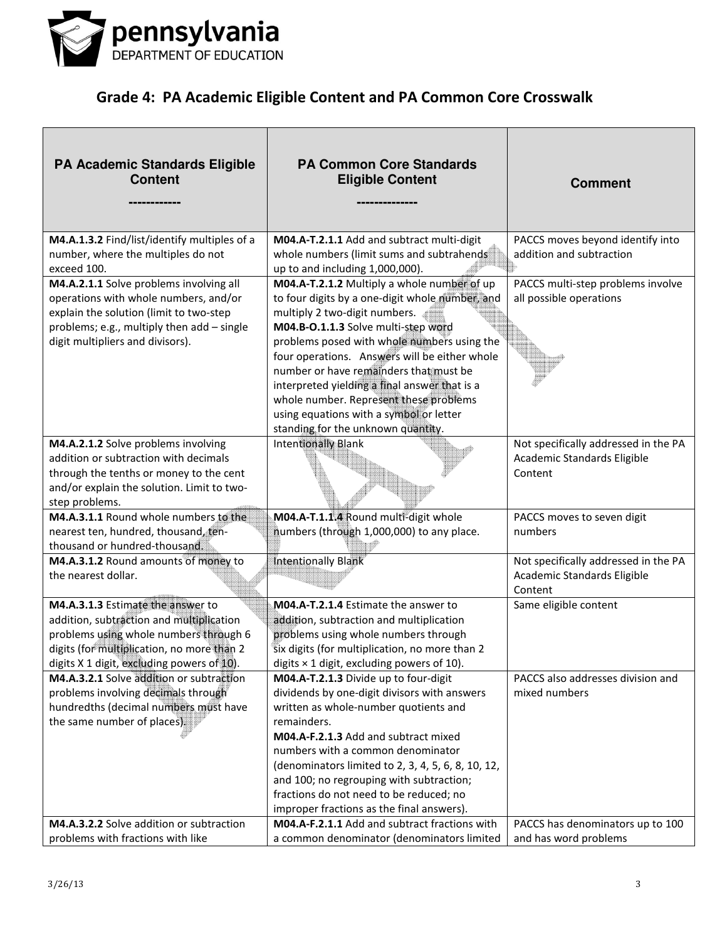

| <b>PA Academic Standards Eligible</b><br><b>Content</b>                                                                                                                                                             | <b>PA Common Core Standards</b><br><b>Eligible Content</b>                                                                                                                                                                                                                                                                                                                                                                                                                                   | <b>Comment</b>                                                                 |
|---------------------------------------------------------------------------------------------------------------------------------------------------------------------------------------------------------------------|----------------------------------------------------------------------------------------------------------------------------------------------------------------------------------------------------------------------------------------------------------------------------------------------------------------------------------------------------------------------------------------------------------------------------------------------------------------------------------------------|--------------------------------------------------------------------------------|
| M4.A.1.3.2 Find/list/identify multiples of a<br>number, where the multiples do not<br>exceed 100.                                                                                                                   | M04.A-T.2.1.1 Add and subtract multi-digit<br>whole numbers (limit sums and subtrahends<br>up to and including 1,000,000).                                                                                                                                                                                                                                                                                                                                                                   | PACCS moves beyond identify into<br>addition and subtraction                   |
| M4.A.2.1.1 Solve problems involving all<br>operations with whole numbers, and/or<br>explain the solution (limit to two-step<br>problems; e.g., multiply then add - single<br>digit multipliers and divisors).       | M04.A-T.2.1.2 Multiply a whole number of up<br>to four digits by a one-digit whole number, and<br>multiply 2 two-digit numbers.<br>M04.B-O.1.1.3 Solve multi-step word<br>problems posed with whole numbers using the<br>four operations. Answers will be either whole<br>number or have remainders that must be<br>interpreted yielding a final answer that is a<br>whole number. Represent these problems<br>using equations with a symbol or letter<br>standing for the unknown quantity. | PACCS multi-step problems involve<br>all possible operations                   |
| M4.A.2.1.2 Solve problems involving<br>addition or subtraction with decimals<br>through the tenths or money to the cent<br>and/or explain the solution. Limit to two-<br>step problems.                             | Intentionally Blank                                                                                                                                                                                                                                                                                                                                                                                                                                                                          | Not specifically addressed in the PA<br>Academic Standards Eligible<br>Content |
| M4.A.3.1.1 Round whole numbers to the<br>nearest ten, hundred, thousand, ten-<br>thousand or hundred-thousand.                                                                                                      | M04.A-T.1.1.4 Round multi-digit whole<br>numbers (through 1,000,000) to any place.                                                                                                                                                                                                                                                                                                                                                                                                           | PACCS moves to seven digit<br>numbers                                          |
| M4.A.3.1.2 Round amounts of money to<br>the nearest dollar.                                                                                                                                                         | <b>Intentionally Blank</b>                                                                                                                                                                                                                                                                                                                                                                                                                                                                   | Not specifically addressed in the PA<br>Academic Standards Eligible<br>Content |
| M4.A.3.1.3 Estimate the answer to<br>addition, subtraction and multiplication<br>problems using whole numbers through 6<br>digits (for multiplication, no more than 2<br>digits X 1 digit, excluding powers of 10). | M04.A-T.2.1.4 Estimate the answer to<br>addition, subtraction and multiplication<br>problems using whole numbers through<br>six digits (for multiplication, no more than 2<br>digits $\times$ 1 digit, excluding powers of 10).                                                                                                                                                                                                                                                              | Same eligible content                                                          |
| M4.A.3.2.1 Solve addition or subtraction<br>problems involving decimals through<br>hundredths (decimal numbers must have<br>the same number of places).                                                             | M04.A-T.2.1.3 Divide up to four-digit<br>dividends by one-digit divisors with answers<br>written as whole-number quotients and<br>remainders.<br>M04.A-F.2.1.3 Add and subtract mixed<br>numbers with a common denominator<br>(denominators limited to 2, 3, 4, 5, 6, 8, 10, 12,<br>and 100; no regrouping with subtraction;<br>fractions do not need to be reduced; no<br>improper fractions as the final answers).                                                                         | PACCS also addresses division and<br>mixed numbers                             |
| M4.A.3.2.2 Solve addition or subtraction<br>problems with fractions with like                                                                                                                                       | M04.A-F.2.1.1 Add and subtract fractions with<br>a common denominator (denominators limited                                                                                                                                                                                                                                                                                                                                                                                                  | PACCS has denominators up to 100<br>and has word problems                      |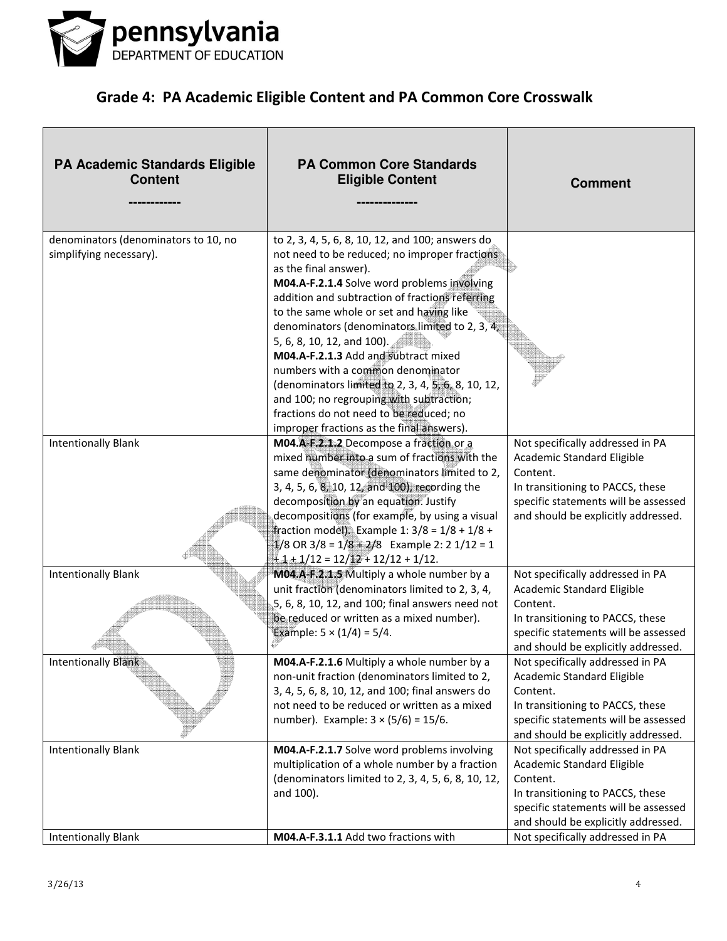

| <b>PA Academic Standards Eligible</b><br><b>Content</b>         | <b>PA Common Core Standards</b><br><b>Eligible Content</b>                                                                                                                                                                                                                                                                                                                                                                                                                                                                                                                                                                      | <b>Comment</b>                                                                                                                                                                                |
|-----------------------------------------------------------------|---------------------------------------------------------------------------------------------------------------------------------------------------------------------------------------------------------------------------------------------------------------------------------------------------------------------------------------------------------------------------------------------------------------------------------------------------------------------------------------------------------------------------------------------------------------------------------------------------------------------------------|-----------------------------------------------------------------------------------------------------------------------------------------------------------------------------------------------|
| denominators (denominators to 10, no<br>simplifying necessary). | to 2, 3, 4, 5, 6, 8, 10, 12, and 100; answers do<br>not need to be reduced; no improper fractions<br>as the final answer).<br>M04.A-F.2.1.4 Solve word problems involving<br>addition and subtraction of fractions referring<br>to the same whole or set and having like<br>denominators (denominators limited to 2, 3, 4,<br>5, 6, 8, 10, 12, and 100).<br>M04.A-F.2.1.3 Add and subtract mixed<br>numbers with a common denominator<br>(denominators limited to 2, 3, 4, 5, 6, 8, 10, 12,<br>and 100; no regrouping with subtraction;<br>fractions do not need to be reduced; no<br>improper fractions as the final answers). |                                                                                                                                                                                               |
| <b>Intentionally Blank</b>                                      | M04.A-F.2.1.2 Decompose a fraction or a<br>mixed number into a sum of fractions with the<br>same denominator (denominators limited to 2,<br>3, 4, 5, 6, 8, 10, 12, and 100), recording the<br>decomposition by an equation. Justify<br>decompositions (for example, by using a visual<br>fraction model). Example 1: $3/8 = 1/8 + 1/8 +$<br>$1/8$ OR 3/8 = $1/8 + 2/8$ Example 2: 2 1/12 = 1<br>$+1+1/12=12/12+12/12+1/12.$                                                                                                                                                                                                     | Not specifically addressed in PA<br>Academic Standard Eligible<br>Content.<br>In transitioning to PACCS, these<br>specific statements will be assessed<br>and should be explicitly addressed. |
| <b>Intentionally Blank</b>                                      | M04.A-F.2.1.5 Multiply a whole number by a<br>unit fraction (denominators limited to 2, 3, 4,<br>5, 6, 8, 10, 12, and 100; final answers need not<br>be reduced or written as a mixed number).<br>Example: $5 \times (1/4) = 5/4$ .                                                                                                                                                                                                                                                                                                                                                                                             | Not specifically addressed in PA<br>Academic Standard Eligible<br>Content.<br>In transitioning to PACCS, these<br>specific statements will be assessed<br>and should be explicitly addressed. |
| Intentionally Blank                                             | M04.A-F.2.1.6 Multiply a whole number by a<br>non-unit fraction (denominators limited to 2,<br>3, 4, 5, 6, 8, 10, 12, and 100; final answers do<br>not need to be reduced or written as a mixed<br>number). Example: $3 \times (5/6) = 15/6$ .                                                                                                                                                                                                                                                                                                                                                                                  | Not specifically addressed in PA<br>Academic Standard Eligible<br>Content.<br>In transitioning to PACCS, these<br>specific statements will be assessed<br>and should be explicitly addressed. |
| <b>Intentionally Blank</b>                                      | M04.A-F.2.1.7 Solve word problems involving<br>multiplication of a whole number by a fraction<br>(denominators limited to 2, 3, 4, 5, 6, 8, 10, 12,<br>and 100).                                                                                                                                                                                                                                                                                                                                                                                                                                                                | Not specifically addressed in PA<br>Academic Standard Eligible<br>Content.<br>In transitioning to PACCS, these<br>specific statements will be assessed<br>and should be explicitly addressed. |
| <b>Intentionally Blank</b>                                      | M04.A-F.3.1.1 Add two fractions with                                                                                                                                                                                                                                                                                                                                                                                                                                                                                                                                                                                            | Not specifically addressed in PA                                                                                                                                                              |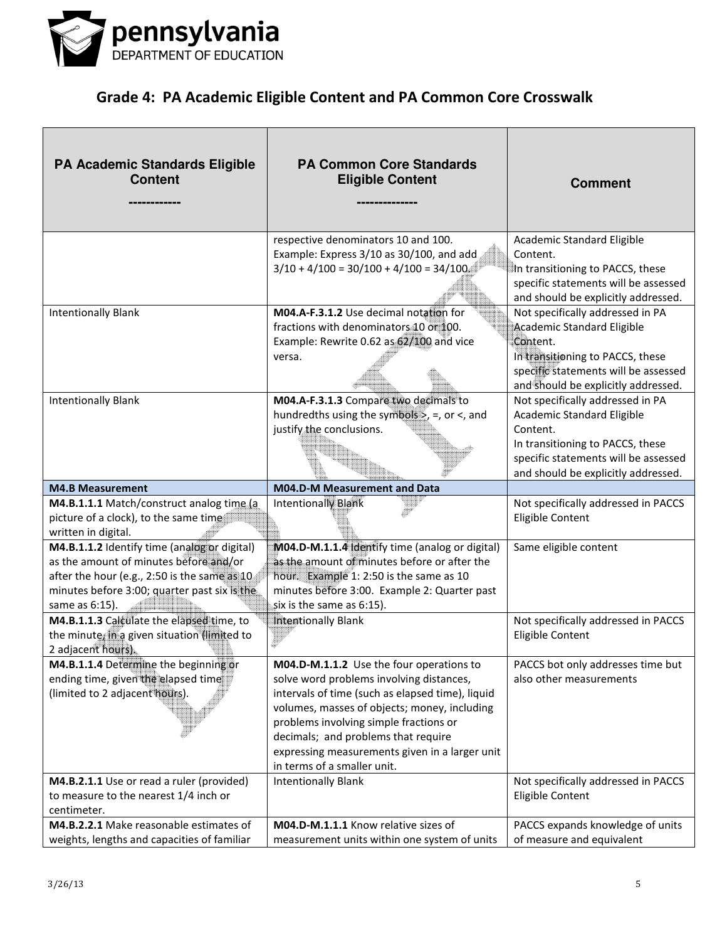

| <b>PA Academic Standards Eligible</b><br><b>Content</b>                                                                                                                                                  | <b>PA Common Core Standards</b><br><b>Eligible Content</b>                                                                                                                                                                                                                                                                                                 | <b>Comment</b>                                                                                                                                                                                |
|----------------------------------------------------------------------------------------------------------------------------------------------------------------------------------------------------------|------------------------------------------------------------------------------------------------------------------------------------------------------------------------------------------------------------------------------------------------------------------------------------------------------------------------------------------------------------|-----------------------------------------------------------------------------------------------------------------------------------------------------------------------------------------------|
|                                                                                                                                                                                                          | respective denominators 10 and 100.<br>Example: Express 3/10 as 30/100, and add<br>$3/10 + 4/100 = 30/100 + 4/100 = 34/100$                                                                                                                                                                                                                                | Academic Standard Eligible<br>Content.<br>In transitioning to PACCS, these<br>specific statements will be assessed<br>and should be explicitly addressed.                                     |
| <b>Intentionally Blank</b>                                                                                                                                                                               | M04.A-F.3.1.2 Use decimal notation for<br>fractions with denominators 10 or 100.<br>Example: Rewrite 0.62 as 62/100 and vice<br>versa.                                                                                                                                                                                                                     | Not specifically addressed in PA<br>Academic Standard Eligible<br>Content.<br>In transitioning to PACCS, these<br>specific statements will be assessed<br>and should be explicitly addressed. |
| <b>Intentionally Blank</b>                                                                                                                                                                               | M04.A-F.3.1.3 Compare two decimals to<br>hundredths using the symbols $>$ , =, or <, and<br>justify the conclusions.                                                                                                                                                                                                                                       | Not specifically addressed in PA<br>Academic Standard Eligible<br>Content.<br>In transitioning to PACCS, these<br>specific statements will be assessed<br>and should be explicitly addressed. |
| <b>M4.B Measurement</b>                                                                                                                                                                                  | <b>M04.D-M Measurement and Data</b>                                                                                                                                                                                                                                                                                                                        |                                                                                                                                                                                               |
| M4.B.1.1.1 Match/construct analog time (a<br>picture of a clock), to the same time<br>written in digital.                                                                                                | Intentionally Blank                                                                                                                                                                                                                                                                                                                                        | Not specifically addressed in PACCS<br>Eligible Content                                                                                                                                       |
| M4.B.1.1.2 Identify time (analog or digital)<br>as the amount of minutes before and/or<br>after the hour (e.g., 2:50 is the same as 10<br>minutes before 3:00; quarter past six is the<br>same as 6:15). | M04.D-M.1.1.4 Identify time (analog or digital)<br>as the amount of minutes before or after the<br>hour. Example 1: 2:50 is the same as 10<br>minutes before 3:00. Example 2: Quarter past<br>six is the same as 6:15).                                                                                                                                    | Same eligible content                                                                                                                                                                         |
| M4.B.1.1.3 Calculate the elapsed time, to<br>the minute, in a given situation (limited to<br>2 adjacent hours).                                                                                          | <b>Intentionally Blank</b>                                                                                                                                                                                                                                                                                                                                 | Not specifically addressed in PACCS<br>Eligible Content                                                                                                                                       |
| M4.B.1.1.4 Determine the beginning or<br>ending time, given the elapsed time<br>(limited to 2 adjacent hours).                                                                                           | M04.D-M.1.1.2 Use the four operations to<br>solve word problems involving distances,<br>intervals of time (such as elapsed time), liquid<br>volumes, masses of objects; money, including<br>problems involving simple fractions or<br>decimals; and problems that require<br>expressing measurements given in a larger unit<br>in terms of a smaller unit. | PACCS bot only addresses time but<br>also other measurements                                                                                                                                  |
| M4.B.2.1.1 Use or read a ruler (provided)<br>to measure to the nearest 1/4 inch or<br>centimeter.                                                                                                        | <b>Intentionally Blank</b>                                                                                                                                                                                                                                                                                                                                 | Not specifically addressed in PACCS<br><b>Eligible Content</b>                                                                                                                                |
| M4.B.2.2.1 Make reasonable estimates of<br>weights, lengths and capacities of familiar                                                                                                                   | M04.D-M.1.1.1 Know relative sizes of<br>measurement units within one system of units                                                                                                                                                                                                                                                                       | PACCS expands knowledge of units<br>of measure and equivalent                                                                                                                                 |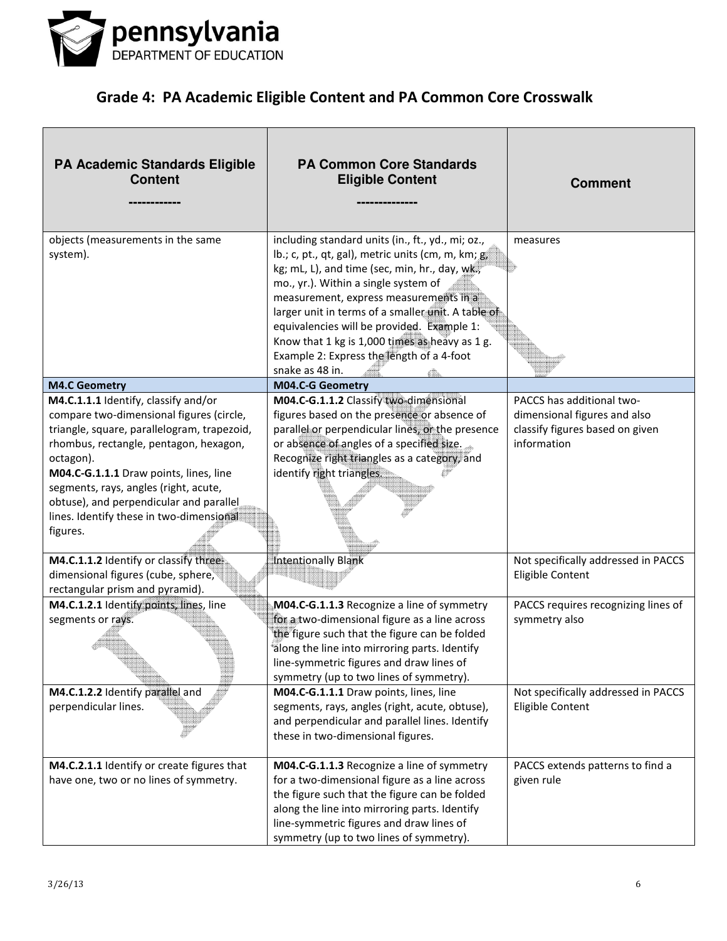

| PA Academic Standards Eligible<br><b>Content</b>                                                                                                                                                                                                                                                                                                                             | <b>PA Common Core Standards</b><br><b>Eligible Content</b>                                                                                                                                                                                                                                                                                                                                                                                                      | <b>Comment</b>                                                                                              |
|------------------------------------------------------------------------------------------------------------------------------------------------------------------------------------------------------------------------------------------------------------------------------------------------------------------------------------------------------------------------------|-----------------------------------------------------------------------------------------------------------------------------------------------------------------------------------------------------------------------------------------------------------------------------------------------------------------------------------------------------------------------------------------------------------------------------------------------------------------|-------------------------------------------------------------------------------------------------------------|
| objects (measurements in the same<br>system).                                                                                                                                                                                                                                                                                                                                | including standard units (in., ft., yd., mi; oz.,<br>lb.; c, pt., qt, gal), metric units (cm, m, km; g<br>kg; mL, L), and time (sec, min, hr., day, wk,<br>mo., yr.). Within a single system of<br>measurement, express measurements in a<br>larger unit in terms of a smaller unit. A table of<br>equivalencies will be provided. Example 1:<br>Know that 1 kg is 1,000 times as heavy as 1 g.<br>Example 2: Express the length of a 4-foot<br>snake as 48 in. | measures                                                                                                    |
| <b>M4.C Geometry</b>                                                                                                                                                                                                                                                                                                                                                         | M04.C-G Geometry                                                                                                                                                                                                                                                                                                                                                                                                                                                |                                                                                                             |
| M4.C.1.1.1 Identify, classify and/or<br>compare two-dimensional figures (circle,<br>triangle, square, parallelogram, trapezoid,<br>rhombus, rectangle, pentagon, hexagon,<br>octagon).<br>M04.C-G.1.1.1 Draw points, lines, line<br>segments, rays, angles (right, acute,<br>obtuse), and perpendicular and parallel<br>lines. Identify these in two-dimensional<br>figures. | M04.C-G.1.1.2 Classify two-dimensional<br>figures based on the presence or absence of<br>parallel or perpendicular lines, or the presence<br>or absence of angles of a specified size.<br>Recognize right triangles as a category, and<br>identify right triangles.                                                                                                                                                                                             | PACCS has additional two-<br>dimensional figures and also<br>classify figures based on given<br>information |
| M4.C.1.1.2 Identify or classify three-<br>dimensional figures (cube, sphere,<br>rectangular prism and pyramid).                                                                                                                                                                                                                                                              | <b>Intentionally Blank</b>                                                                                                                                                                                                                                                                                                                                                                                                                                      | Not specifically addressed in PACCS<br>Eligible Content                                                     |
| M4.C.1.2.1 Identify points, lines, line<br>segments or rays.                                                                                                                                                                                                                                                                                                                 | M04.C-G.1.1.3 Recognize a line of symmetry<br>for a two-dimensional figure as a line across<br>the figure such that the figure can be folded<br>along the line into mirroring parts. Identify<br>line-symmetric figures and draw lines of<br>symmetry (up to two lines of symmetry).                                                                                                                                                                            | PACCS requires recognizing lines of<br>symmetry also                                                        |
| M4.C.1.2.2 Identify parallel and<br>perpendicular lines.                                                                                                                                                                                                                                                                                                                     | M04.C-G.1.1.1 Draw points, lines, line<br>segments, rays, angles (right, acute, obtuse),<br>and perpendicular and parallel lines. Identify<br>these in two-dimensional figures.                                                                                                                                                                                                                                                                                 | Not specifically addressed in PACCS<br>Eligible Content                                                     |
| M4.C.2.1.1 Identify or create figures that<br>have one, two or no lines of symmetry.                                                                                                                                                                                                                                                                                         | M04.C-G.1.1.3 Recognize a line of symmetry<br>for a two-dimensional figure as a line across<br>the figure such that the figure can be folded<br>along the line into mirroring parts. Identify<br>line-symmetric figures and draw lines of<br>symmetry (up to two lines of symmetry).                                                                                                                                                                            | PACCS extends patterns to find a<br>given rule                                                              |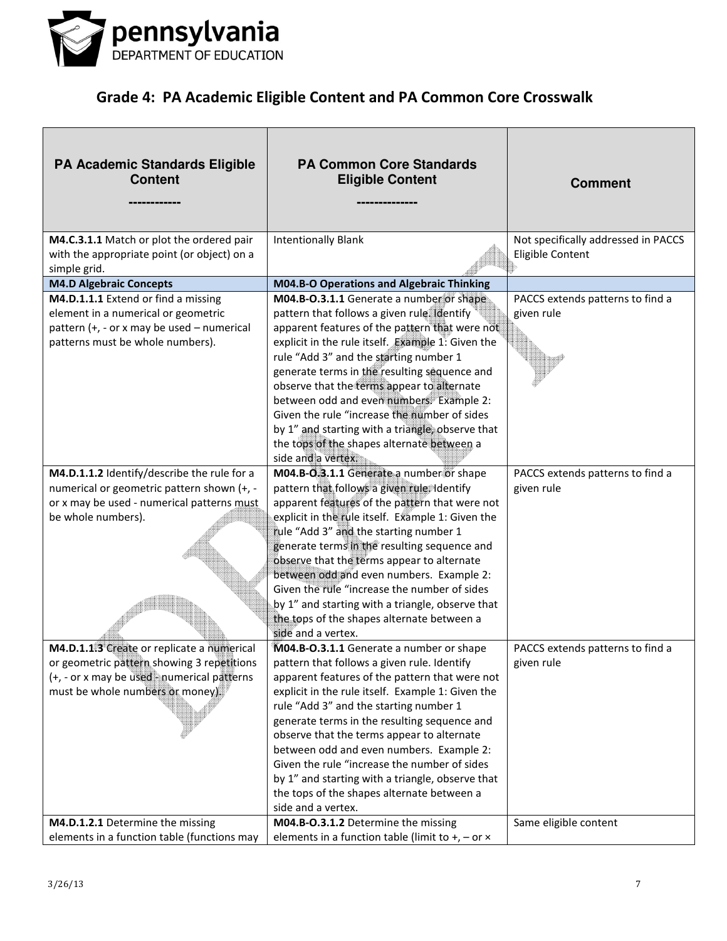

| <b>PA Academic Standards Eligible</b><br><b>Content</b>                                                                                                                    | <b>PA Common Core Standards</b><br><b>Eligible Content</b>                                                                                                                                                                                                                                                                                                                                                                                                                                                                                                                       | <b>Comment</b>                                          |
|----------------------------------------------------------------------------------------------------------------------------------------------------------------------------|----------------------------------------------------------------------------------------------------------------------------------------------------------------------------------------------------------------------------------------------------------------------------------------------------------------------------------------------------------------------------------------------------------------------------------------------------------------------------------------------------------------------------------------------------------------------------------|---------------------------------------------------------|
| M4.C.3.1.1 Match or plot the ordered pair<br>with the appropriate point (or object) on a                                                                                   | <b>Intentionally Blank</b>                                                                                                                                                                                                                                                                                                                                                                                                                                                                                                                                                       | Not specifically addressed in PACCS<br>Eligible Content |
| simple grid.                                                                                                                                                               |                                                                                                                                                                                                                                                                                                                                                                                                                                                                                                                                                                                  |                                                         |
| <b>M4.D Algebraic Concepts</b>                                                                                                                                             | M04.B-O Operations and Algebraic Thinking                                                                                                                                                                                                                                                                                                                                                                                                                                                                                                                                        |                                                         |
| M4.D.1.1.1 Extend or find a missing<br>element in a numerical or geometric<br>pattern (+, - or x may be used - numerical<br>patterns must be whole numbers).               | M04.B-O.3.1.1 Generate a number or shape<br>pattern that follows a given rule Identify<br>apparent features of the pattern that were not<br>explicit in the rule itself. Example 1: Given the<br>rule "Add 3" and the starting number 1<br>generate terms in the resulting sequence and<br>observe that the terms appear to alternate<br>between odd and even numbers. Example 2:<br>Given the rule "increase the number of sides<br>by 1" and starting with a triangle, observe that<br>the tops of the shapes alternate between a                                              | PACCS extends patterns to find a<br>given rule          |
| M4.D.1.1.2 Identify/describe the rule for a<br>numerical or geometric pattern shown (+, -<br>or x may be used - numerical patterns must<br>be whole numbers).              | side and a vertex.<br>M04.B-O.3.1.1 Generate a number or shape<br>pattern that follows a given rule. Identify<br>apparent features of the pattern that were not<br>explicit in the rule itself. Example 1: Given the<br>rule "Add 3" and the starting number 1<br>generate terms in the resulting sequence and<br>observe that the terms appear to alternate<br>between odd and even numbers. Example 2:<br>Given the rule "increase the number of sides<br>by 1" and starting with a triangle, observe that<br>the tops of the shapes alternate between a<br>side and a vertex. | PACCS extends patterns to find a<br>given rule          |
| M4.D.1.1.3 Create or replicate a numerical<br>or geometric pattern showing 3 repetitions<br>(+, - or x may be used - numerical patterns<br>must be whole numbers or money) | M04.B-O.3.1.1 Generate a number or shape<br>pattern that follows a given rule. Identify<br>apparent features of the pattern that were not<br>explicit in the rule itself. Example 1: Given the<br>rule "Add 3" and the starting number 1<br>generate terms in the resulting sequence and<br>observe that the terms appear to alternate<br>between odd and even numbers. Example 2:<br>Given the rule "increase the number of sides<br>by 1" and starting with a triangle, observe that<br>the tops of the shapes alternate between a<br>side and a vertex.                       | PACCS extends patterns to find a<br>given rule          |
| M4.D.1.2.1 Determine the missing<br>elements in a function table (functions may                                                                                            | M04.B-O.3.1.2 Determine the missing<br>elements in a function table (limit to $+$ , $-$ or $\times$                                                                                                                                                                                                                                                                                                                                                                                                                                                                              | Same eligible content                                   |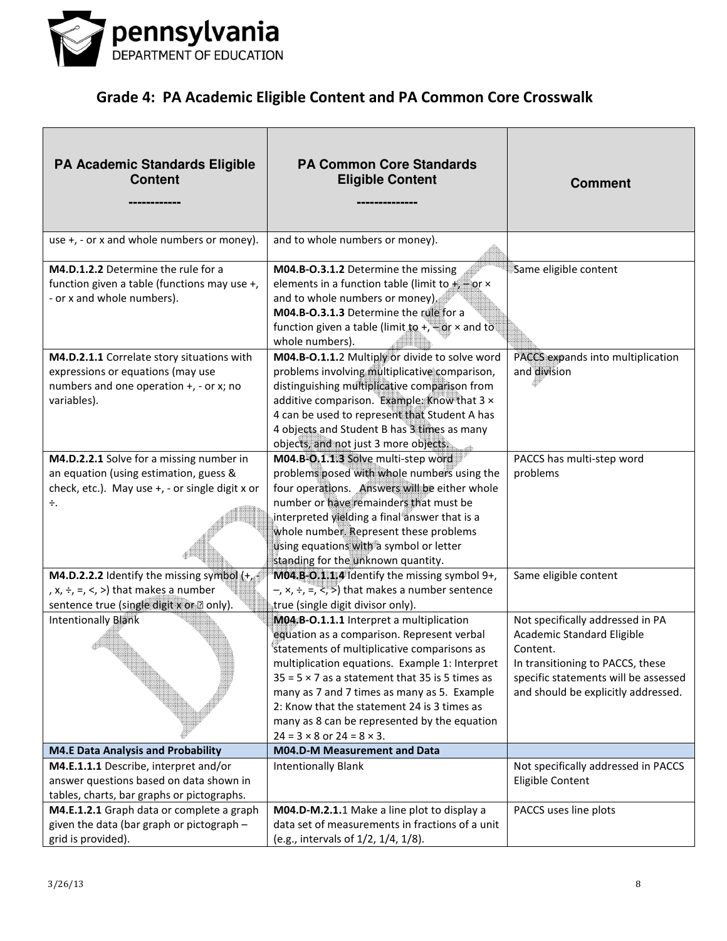

| <b>PA Academic Standards Eligible</b><br><b>Content</b>                                                                                        | <b>PA Common Core Standards</b><br><b>Eligible Content</b>                                                                                                                                                                                                                                                                                                                                                                                  | <b>Comment</b>                                                                                                                                                                                |
|------------------------------------------------------------------------------------------------------------------------------------------------|---------------------------------------------------------------------------------------------------------------------------------------------------------------------------------------------------------------------------------------------------------------------------------------------------------------------------------------------------------------------------------------------------------------------------------------------|-----------------------------------------------------------------------------------------------------------------------------------------------------------------------------------------------|
| use +, - or x and whole numbers or money).                                                                                                     | and to whole numbers or money).                                                                                                                                                                                                                                                                                                                                                                                                             |                                                                                                                                                                                               |
| M4.D.1.2.2 Determine the rule for a<br>function given a table (functions may use +,<br>- or x and whole numbers).                              | M04.B-O.3.1.2 Determine the missing<br>elements in a function table (limit to + or x<br>and to whole numbers or money).<br>M04.B-O.3.1.3 Determine the rule for a<br>function given a table (limit to +, + or $\times$ and to<br>whole numbers).                                                                                                                                                                                            | Same eligible content                                                                                                                                                                         |
| M4.D.2.1.1 Correlate story situations with<br>expressions or equations (may use<br>numbers and one operation +, - or x; no<br>variables).      | M04.B-O.1.1.2 Multiply or divide to solve word<br>problems involving multiplicative comparison,<br>distinguishing multiplicative comparison from<br>additive comparison. Example: Know that 3 x<br>4 can be used to represent that Student A has<br>4 objects and Student B has 3 times as many<br>objects, and not just 3 more objects.                                                                                                    | PACCS expands into multiplication<br>and division                                                                                                                                             |
| M4.D.2.2.1 Solve for a missing number in<br>an equation (using estimation, guess &<br>check, etc.). May use +, - or single digit x or<br>÷.    | M04.B-O.1.1.3 Solve multi-step word<br>problems posed with whole numbers using the<br>four operations. Answers will be either whole<br>number or have remainders that must be<br>interpreted yielding a final answer that is a<br>whole number. Represent these problems<br>using equations with a symbol or letter<br>standing for the unknown quantity.                                                                                   | PACCS has multi-step word<br>problems                                                                                                                                                         |
| <b>M4.D.2.2.2</b> Identify the missing symbol $(+)$<br>, $x, \div, =, <, >$ ) that makes a number<br>sentence true (single digit x or a only). | M04.B-O.1.1.4 Identify the missing symbol 9+,<br>$-$ , x, $\div$ , =, $\lt$ , $\gt$ ) that makes a number sentence<br>true (single digit divisor only).                                                                                                                                                                                                                                                                                     | Same eligible content                                                                                                                                                                         |
| <b>Intentionally Blank</b>                                                                                                                     | M04.B-O.1.1.1 Interpret a multiplication<br>equation as a comparison. Represent verbal<br>statements of multiplicative comparisons as<br>multiplication equations. Example 1: Interpret<br>$35 = 5 \times 7$ as a statement that 35 is 5 times as<br>many as 7 and 7 times as many as 5. Example<br>2: Know that the statement 24 is 3 times as<br>many as 8 can be represented by the equation<br>$24 = 3 \times 8$ or $24 = 8 \times 3$ . | Not specifically addressed in PA<br>Academic Standard Eligible<br>Content.<br>In transitioning to PACCS, these<br>specific statements will be assessed<br>and should be explicitly addressed. |
| <b>M4.E Data Analysis and Probability</b>                                                                                                      | M04.D-M Measurement and Data                                                                                                                                                                                                                                                                                                                                                                                                                |                                                                                                                                                                                               |
| M4.E.1.1.1 Describe, interpret and/or<br>answer questions based on data shown in<br>tables, charts, bar graphs or pictographs.                 | <b>Intentionally Blank</b>                                                                                                                                                                                                                                                                                                                                                                                                                  | Not specifically addressed in PACCS<br>Eligible Content                                                                                                                                       |
| M4.E.1.2.1 Graph data or complete a graph<br>given the data (bar graph or pictograph -<br>grid is provided).                                   | M04.D-M.2.1.1 Make a line plot to display a<br>data set of measurements in fractions of a unit<br>(e.g., intervals of 1/2, 1/4, 1/8).                                                                                                                                                                                                                                                                                                       | PACCS uses line plots                                                                                                                                                                         |